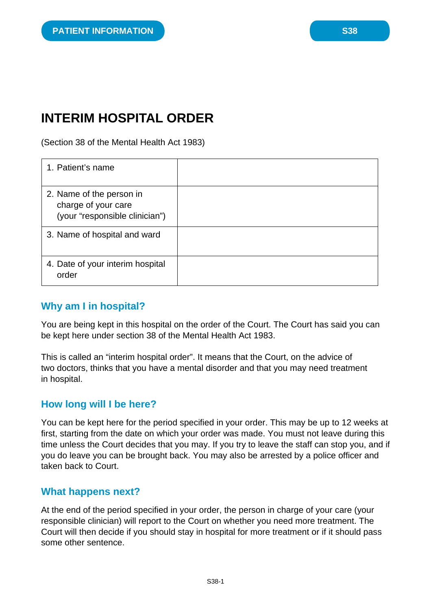# **INTERIM HOSPITAL ORDER**

(Section 38 of the Mental Health Act 1983)

| 1. Patient's name                                                                 |  |
|-----------------------------------------------------------------------------------|--|
| 2. Name of the person in<br>charge of your care<br>(your "responsible clinician") |  |
| 3. Name of hospital and ward                                                      |  |
| 4. Date of your interim hospital<br>order                                         |  |

## **Why am I in hospital?**

You are being kept in this hospital on the order of the Court. The Court has said you can be kept here under section 38 of the Mental Health Act 1983.

This is called an "interim hospital order". It means that the Court, on the advice of two doctors, thinks that you have a mental disorder and that you may need treatment in hospital.

#### **How long will I be here?**

You can be kept here for the period specified in your order. This may be up to 12 weeks at first, starting from the date on which your order was made. You must not leave during this time unless the Court decides that you may. If you try to leave the staff can stop you, and if you do leave you can be brought back. You may also be arrested by a police officer and taken back to Court.

#### **What happens next?**

At the end of the period specified in your order, the person in charge of your care (your responsible clinician) will report to the Court on whether you need more treatment. The Court will then decide if you should stay in hospital for more treatment or if it should pass some other sentence.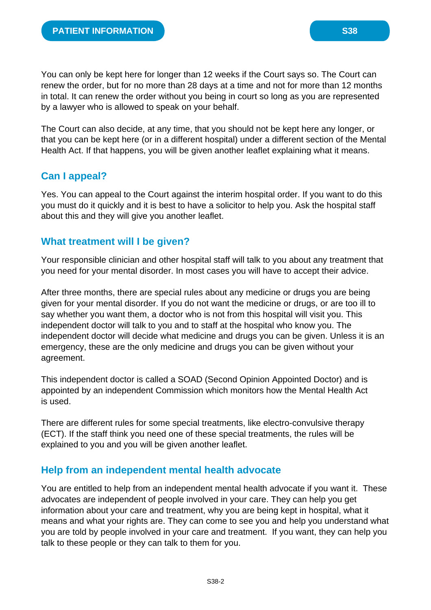You can only be kept here for longer than 12 weeks if the Court says so. The Court can renew the order, but for no more than 28 days at a time and not for more than 12 months in total. It can renew the order without you being in court so long as you are represented by a lawyer who is allowed to speak on your behalf.

The Court can also decide, at any time, that you should not be kept here any longer, or that you can be kept here (or in a different hospital) under a different section of the Mental Health Act. If that happens, you will be given another leaflet explaining what it means.

# **Can I appeal?**

Yes. You can appeal to the Court against the interim hospital order. If you want to do this you must do it quickly and it is best to have a solicitor to help you. Ask the hospital staff about this and they will give you another leaflet.

## **What treatment will I be given?**

Your responsible clinician and other hospital staff will talk to you about any treatment that you need for your mental disorder. In most cases you will have to accept their advice.

After three months, there are special rules about any medicine or drugs you are being given for your mental disorder. If you do not want the medicine or drugs, or are too ill to say whether you want them, a doctor who is not from this hospital will visit you. This independent doctor will talk to you and to staff at the hospital who know you. The independent doctor will decide what medicine and drugs you can be given. Unless it is an emergency, these are the only medicine and drugs you can be given without your agreement.

This independent doctor is called a SOAD (Second Opinion Appointed Doctor) and is appointed by an independent Commission which monitors how the Mental Health Act is used.

There are different rules for some special treatments, like electro-convulsive therapy (ECT). If the staff think you need one of these special treatments, the rules will be explained to you and you will be given another leaflet.

## **Help from an independent mental health advocate**

You are entitled to help from an independent mental health advocate if you want it. These advocates are independent of people involved in your care. They can help you get information about your care and treatment, why you are being kept in hospital, what it means and what your rights are. They can come to see you and help you understand what you are told by people involved in your care and treatment. If you want, they can help you talk to these people or they can talk to them for you.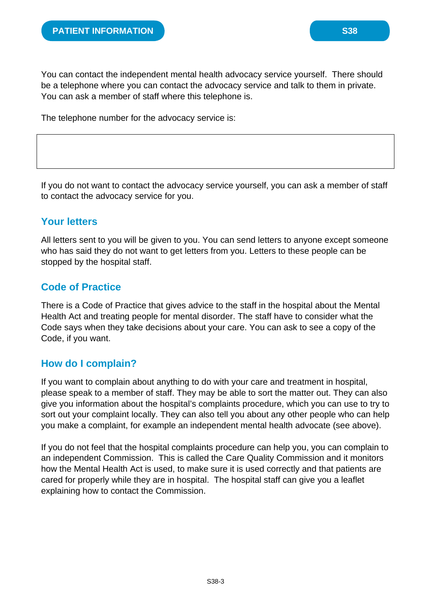You can contact the independent mental health advocacy service yourself. There should be a telephone where you can contact the advocacy service and talk to them in private. You can ask a member of staff where this telephone is.

The telephone number for the advocacy service is:

If you do not want to contact the advocacy service yourself, you can ask a member of staff to contact the advocacy service for you.

#### **Your letters**

All letters sent to you will be given to you. You can send letters to anyone except someone who has said they do not want to get letters from you. Letters to these people can be stopped by the hospital staff.

## **Code of Practice**

There is a Code of Practice that gives advice to the staff in the hospital about the Mental Health Act and treating people for mental disorder. The staff have to consider what the Code says when they take decisions about your care. You can ask to see a copy of the Code, if you want.

## **How do I complain?**

If you want to complain about anything to do with your care and treatment in hospital, please speak to a member of staff. They may be able to sort the matter out. They can also give you information about the hospital's complaints procedure, which you can use to try to sort out your complaint locally. They can also tell you about any other people who can help you make a complaint, for example an independent mental health advocate (see above).

If you do not feel that the hospital complaints procedure can help you, you can complain to an independent Commission. This is called the Care Quality Commission and it monitors how the Mental Health Act is used, to make sure it is used correctly and that patients are cared for properly while they are in hospital. The hospital staff can give you a leaflet explaining how to contact the Commission.